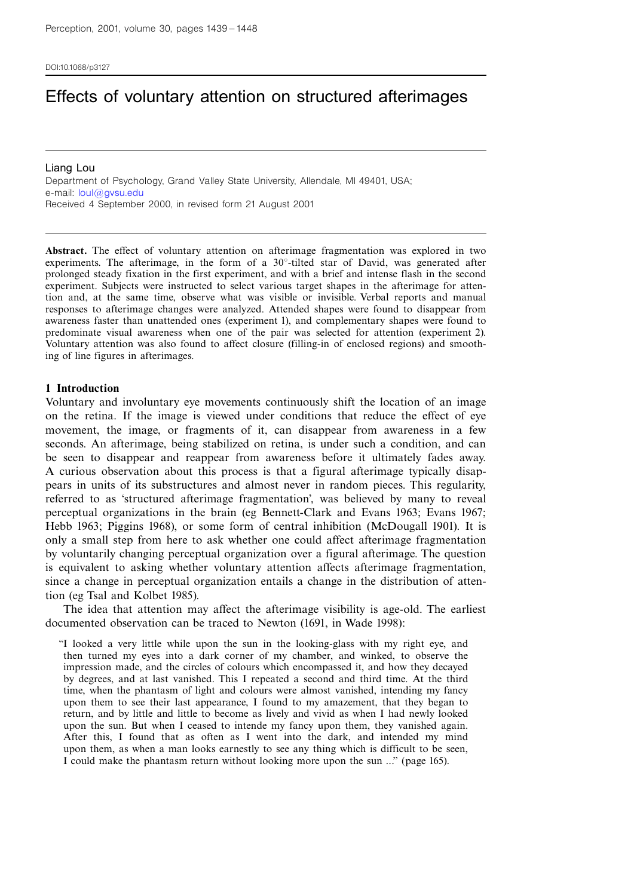# Effects of voluntary attention on structured afterimages

Liang Lou Department of Psychology, Grand Valley State University, Allendale, MI 49401, USA; e-mail: [loul@gvsu.edu](mailto:loul@gvsu.edu) Received 4 September 2000, in revised form 21 August 2001

Abstract. The effect of voluntary attention on afterimage fragmentation was explored in two experiments. The afterimage, in the form of a  $30^{\circ}$ -tilted star of David, was generated after prolonged steady fixation in the first experiment, and with a brief and intense flash in the second experiment. Subjects were instructed to select various target shapes in the afterimage for attention and, at the same time, observe what was visible or invisible. Verbal reports and manual responses to afterimage changes were analyzed. Attended shapes were found to disappear from awareness faster than unattended ones (experiment 1), and complementary shapes were found to predominate visual awareness when one of the pair was selected for attention (experiment 2). Voluntary attention was also found to affect closure (filling-in of enclosed regions) and smoothing of line figures in afterimages.

## 1 Introduction

Voluntary and involuntary eye movements continuously shift the location of an image on the retina. If the image is viewed under conditions that reduce the effect of eye movement, the image, or fragments of it, can disappear from awareness in a few seconds. An afterimage, being stabilized on retina, is under such a condition, and can be seen to disappear and reappear from awareness before it ultimately fades away. A curious observation about this process is that a figural afterimage typically disappears in units of its substructures and almost never in random pieces. This regularity, referred to as `structured afterimage fragmentation', was believed by many to reveal perceptual organizations in the brain (eg Bennett-Clark and Evans 1963; Evans 1967; Hebb 1963; Piggins 1968), or some form of central inhibition (McDougall 1901). It is only a small step from here to ask whether one could affect afterimage fragmentation by voluntarily changing perceptual organization over a figural afterimage. The question is equivalent to asking whether voluntary attention affects afterimage fragmentation, since a change in perceptual organization entails a change in the distribution of attention (eg Tsal and Kolbet 1985).

The idea that attention may affect the afterimage visibility is age-old. The earliest documented observation can be traced to Newton (1691, in Wade 1998):

``I looked a very little while upon the sun in the looking-glass with my right eye, and then turned my eyes into a dark corner of my chamber, and winked, to observe the impression made, and the circles of colours which encompassed it, and how they decayed by degrees, and at last vanished. This I repeated a second and third time. At the third time, when the phantasm of light and colours were almost vanished, intending my fancy upon them to see their last appearance, I found to my amazement, that they began to return, and by little and little to become as lively and vivid as when I had newly looked upon the sun. But when I ceased to intende my fancy upon them, they vanished again. After this, I found that as often as I went into the dark, and intended my mind upon them, as when a man looks earnestly to see any thing which is difficult to be seen, I could make the phantasm return without looking more upon the sun ...'' (page 165).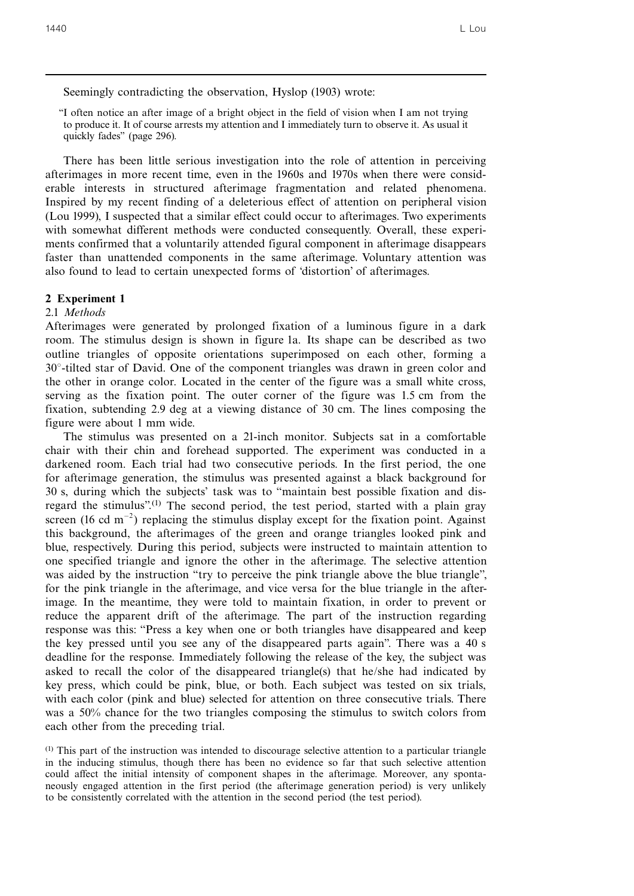Seemingly contradicting the observation, Hyslop (1903) wrote:

``I often notice an after image of a bright object in the field of vision when I am not trying to produce it. It of course arrests my attention and I immediately turn to observe it. As usual it quickly fades'' (page 296).

There has been little serious investigation into the role of attention in perceiving afterimages in more recent time, even in the 1960s and 1970s when there were considerable interests in structured afterimage fragmentation and related phenomena. Inspired by my recent finding of a deleterious effect of attention on peripheral vision (Lou 1999), I suspected that a similar effect could occur to afterimages. Two experiments with somewhat different methods were conducted consequently. Overall, these experiments confirmed that a voluntarily attended figural component in afterimage disappears faster than unattended components in the same afterimage. Voluntary attention was also found to lead to certain unexpected forms of `distortion' of afterimages.

# 2 Experiment 1

# 2.1 Methods

Afterimages were generated by prolonged fixation of a luminous figure in a dark room. The stimulus design is shown in figure 1a. Its shape can be described as two outline triangles of opposite orientations superimposed on each other, forming a  $30^\circ$ -tilted star of David. One of the component triangles was drawn in green color and the other in orange color. Located in the center of the figure was a small white cross, serving as the fixation point. The outer corner of the figure was 1.5 cm from the fixation, subtending 2.9 deg at a viewing distance of 30 cm. The lines composing the figure were about 1 mm wide.

The stimulus was presented on a 21-inch monitor. Subjects sat in a comfortable chair with their chin and forehead supported. The experiment was conducted in a darkened room. Each trial had two consecutive periods. In the first period, the one for afterimage generation, the stimulus was presented against a black background for 30 s, during which the subjects' task was to "maintain best possible fixation and disregard the stimulus".<sup>(1)</sup> The second period, the test period, started with a plain gray screen (16 cd  $m^{-2}$ ) replacing the stimulus display except for the fixation point. Against this background, the afterimages of the green and orange triangles looked pink and blue, respectively. During this period, subjects were instructed to maintain attention to one specified triangle and ignore the other in the afterimage. The selective attention was aided by the instruction "try to perceive the pink triangle above the blue triangle", for the pink triangle in the afterimage, and vice versa for the blue triangle in the afterimage. In the meantime, they were told to maintain fixation, in order to prevent or reduce the apparent drift of the afterimage. The part of the instruction regarding response was this: "Press a key when one or both triangles have disappeared and keep the key pressed until you see any of the disappeared parts again''. There was a 40 s deadline for the response. Immediately following the release of the key, the subject was asked to recall the color of the disappeared triangle(s) that he/she had indicated by key press, which could be pink, blue, or both. Each subject was tested on six trials, with each color (pink and blue) selected for attention on three consecutive trials. There was a 50% chance for the two triangles composing the stimulus to switch colors from each other from the preceding trial.

(1) This part of the instruction was intended to discourage selective attention to a particular triangle in the inducing stimulus, though there has been no evidence so far that such selective attention could affect the initial intensity of component shapes in the afterimage. Moreover, any spontaneously engaged attention in the first period (the afterimage generation period) is very unlikely to be consistently correlated with the attention in the second period (the test period).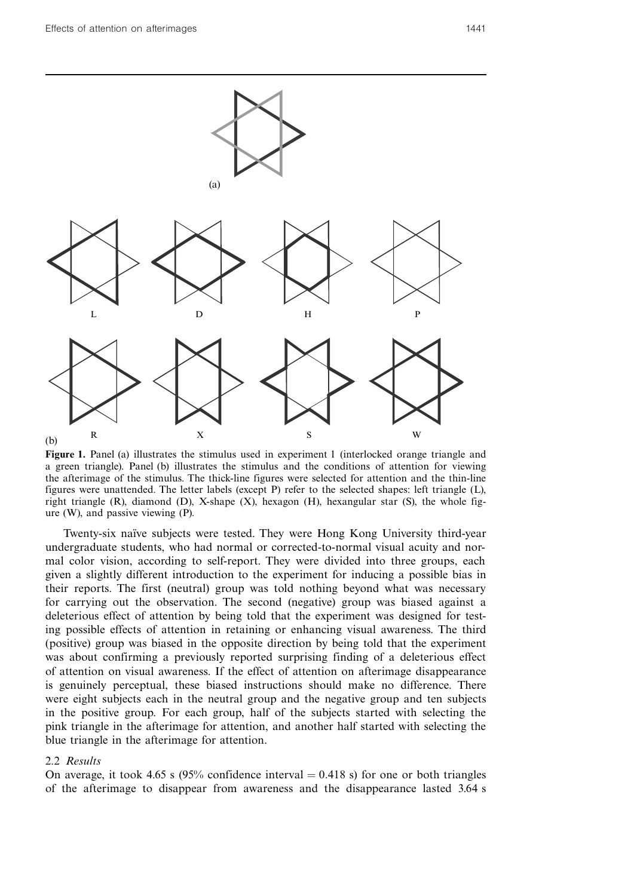

Figure 1. Panel (a) illustrates the stimulus used in experiment 1 (interlocked orange triangle and a green triangle). Panel (b) illustrates the stimulus and the conditions of attention for viewing the afterimage of the stimulus. The thick-line figures were selected for attention and the thin-line figures were unattended. The letter labels (except P) refer to the selected shapes: left triangle (L), right triangle  $(R)$ , diamond  $(D)$ , X-shape  $(X)$ , hexagon  $(H)$ , hexangular star  $(S)$ , the whole figure (W), and passive viewing (P).

Twenty-six naïve subjects were tested. They were Hong Kong University third-year undergraduate students, who had normal or corrected-to-normal visual acuity and normal color vision, according to self-report. They were divided into three groups, each given a slightly different introduction to the experiment for inducing a possible bias in their reports. The first (neutral) group was told nothing beyond what was necessary for carrying out the observation. The second (negative) group was biased against a deleterious effect of attention by being told that the experiment was designed for testing possible effects of attention in retaining or enhancing visual awareness. The third (positive) group was biased in the opposite direction by being told that the experiment was about confirming a previously reported surprising finding of a deleterious effect of attention on visual awareness. If the effect of attention on afterimage disappearance is genuinely perceptual, these biased instructions should make no difference. There were eight subjects each in the neutral group and the negative group and ten subjects in the positive group. For each group, half of the subjects started with selecting the pink triangle in the afterimage for attention, and another half started with selecting the blue triangle in the afterimage for attention.

#### 2.2 Results

On average, it took 4.65 s (95% confidence interval  $= 0.418$  s) for one or both triangles of the afterimage to disappear from awareness and the disappearance lasted 3.64 s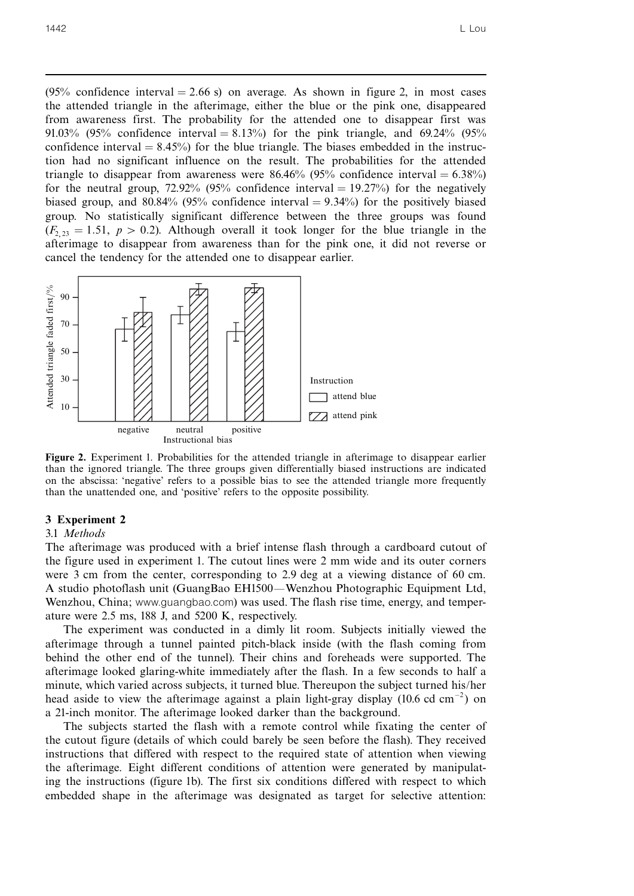$(95\% \text{ confidence interval} = 2.66 \text{ s})$  on average. As shown in figure 2, in most cases the attended triangle in the afterimage, either the blue or the pink one, disappeared from awareness first. The probability for the attended one to disappear first was 91.03% (95% confidence interval  $= 8.13\%$ ) for the pink triangle, and 69.24% (95% confidence interval  $= 8.45\%$  for the blue triangle. The biases embedded in the instruction had no significant influence on the result. The probabilities for the attended triangle to disappear from awareness were  $86.46\%$  (95% confidence interval = 6.38%) for the neutral group,  $72.92\%$  (95% confidence interval  $= 19.27\%$ ) for the negatively biased group, and  $80.84\%$  (95% confidence interval = 9.34%) for the positively biased group. No statistically significant difference between the three groups was found  $(F_{2,23} = 1.51, p > 0.2)$ . Although overall it took longer for the blue triangle in the afterimage to disappear from awareness than for the pink one, it did not reverse or cancel the tendency for the attended one to disappear earlier.



Figure 2. Experiment 1. Probabilities for the attended triangle in afterimage to disappear earlier than the ignored triangle. The three groups given differentially biased instructions are indicated on the abscissa: 'negative' refers to a possible bias to see the attended triangle more frequently than the unattended one, and 'positive' refers to the opposite possibility.

# 3 Experiment 2

## 3.1 Methods

The afterimage was produced with a brief intense flash through a cardboard cutout of the figure used in experiment 1. The cutout lines were 2 mm wide and its outer corners were 3 cm from the center, corresponding to 2.9 deg at a viewing distance of 60 cm. A studio photoflash unit (GuangBao EH1500—Wenzhou Photographic Equipment Ltd, Wenzhou, China; www.guangbao.com) was used. The flash rise time, energy, and temperature were 2.5 ms, 188 J, and 5200 K, respectively.

The experiment was conducted in a dimly lit room. Subjects initially viewed the afterimage through a tunnel painted pitch-black inside (with the flash coming from behind the other end of the tunnel). Their chins and foreheads were supported. The afterimage looked glaring-white immediately after the flash. In a few seconds to half a minute, which varied across subjects, it turned blue. Thereupon the subject turned his/her head aside to view the afterimage against a plain light-gray display (10.6 cd cm<sup>-2</sup>) on a 21-inch monitor. The afterimage looked darker than the background.

The subjects started the flash with a remote control while fixating the center of the cutout figure (details of which could barely be seen before the flash). They received instructions that differed with respect to the required state of attention when viewing the afterimage. Eight different conditions of attention were generated by manipulating the instructions (figure 1b). The first six conditions differed with respect to which embedded shape in the afterimage was designated as target for selective attention: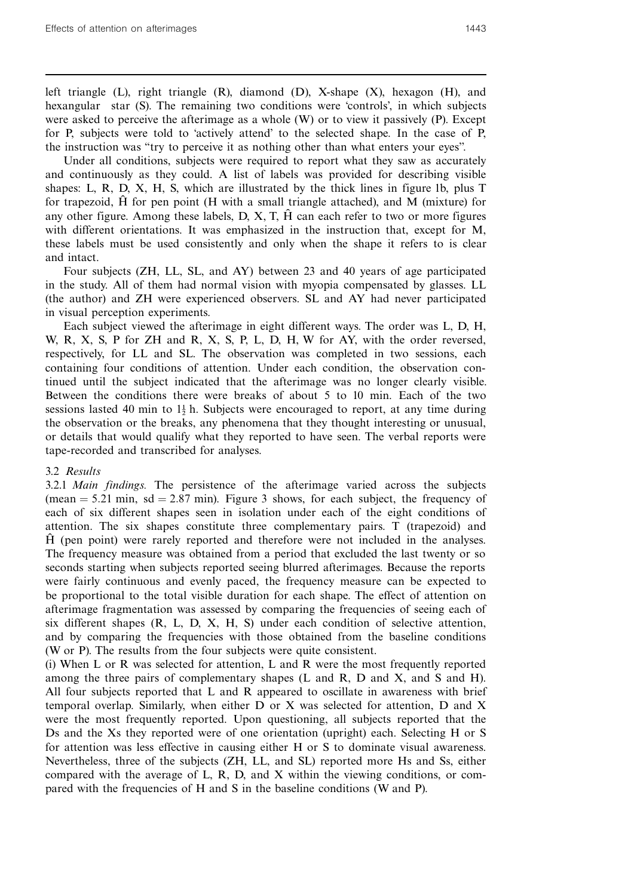left triangle (L), right triangle  $(R)$ , diamond  $(D)$ , X-shape  $(X)$ , hexagon  $(H)$ , and hexangular star (S). The remaining two conditions were 'controls', in which subjects were asked to perceive the afterimage as a whole (W) or to view it passively (P). Except for P, subjects were told to `actively attend' to the selected shape. In the case of P, the instruction was "try to perceive it as nothing other than what enters your eyes".

Under all conditions, subjects were required to report what they saw as accurately and continuously as they could. A list of labels was provided for describing visible shapes: L, R, D, X, H, S, which are illustrated by the thick lines in figure 1b, plus T for trapezoid,  $\hat{H}$  for pen point (H with a small triangle attached), and M (mixture) for any other figure. Among these labels,  $D, X, T, \hat{H}$  can each refer to two or more figures with different orientations. It was emphasized in the instruction that, except for M, these labels must be used consistently and only when the shape it refers to is clear and intact.

Four subjects (ZH, LL, SL, and AY) between 23 and 40 years of age participated in the study. All of them had normal vision with myopia compensated by glasses. LL (the author) and ZH were experienced observers. SL and AY had never participated in visual perception experiments.

Each subject viewed the afterimage in eight different ways. The order was L, D, H, W, R, X, S, P for ZH and R, X, S, P, L, D, H, W for AY, with the order reversed, respectively, for LL and SL. The observation was completed in two sessions, each containing four conditions of attention. Under each condition, the observation continued until the subject indicated that the afterimage was no longer clearly visible. Between the conditions there were breaks of about 5 to 10 min. Each of the two sessions lasted 40 min to  $1\frac{1}{2}$  h. Subjects were encouraged to report, at any time during<br>the share with a health has been planeted to the three throught interesting a numeral the observation or the breaks, any phenomena that they thought interesting or unusual, or details that would qualify what they reported to have seen. The verbal reports were tape-recorded and transcribed for analyses.

#### 3.2 Results

3.2.1 Main findings. The persistence of the afterimage varied across the subjects (mean  $= 5.21$  min, sd  $= 2.87$  min). Figure 3 shows, for each subject, the frequency of each of six different shapes seen in isolation under each of the eight conditions of attention. The six shapes constitute three complementary pairs. T (trapezoid) and Hê (pen point) were rarely reported and therefore were not included in the analyses. The frequency measure was obtained from a period that excluded the last twenty or so seconds starting when subjects reported seeing blurred afterimages. Because the reports were fairly continuous and evenly paced, the frequency measure can be expected to be proportional to the total visible duration for each shape. The effect of attention on afterimage fragmentation was assessed by comparing the frequencies of seeing each of six different shapes (R, L, D, X, H, S) under each condition of selective attention, and by comparing the frequencies with those obtained from the baseline conditions (W or P). The results from the four subjects were quite consistent.

(i) When L or R was selected for attention, L and R were the most frequently reported among the three pairs of complementary shapes (L and R, D and X, and S and H). All four subjects reported that L and R appeared to oscillate in awareness with brief temporal overlap. Similarly, when either D or X was selected for attention, D and X were the most frequently reported. Upon questioning, all subjects reported that the Ds and the Xs they reported were of one orientation (upright) each. Selecting H or S for attention was less effective in causing either H or S to dominate visual awareness. Nevertheless, three of the subjects (ZH, LL, and SL) reported more Hs and Ss, either compared with the average of L, R, D, and X within the viewing conditions, or compared with the frequencies of H and S in the baseline conditions (W and P).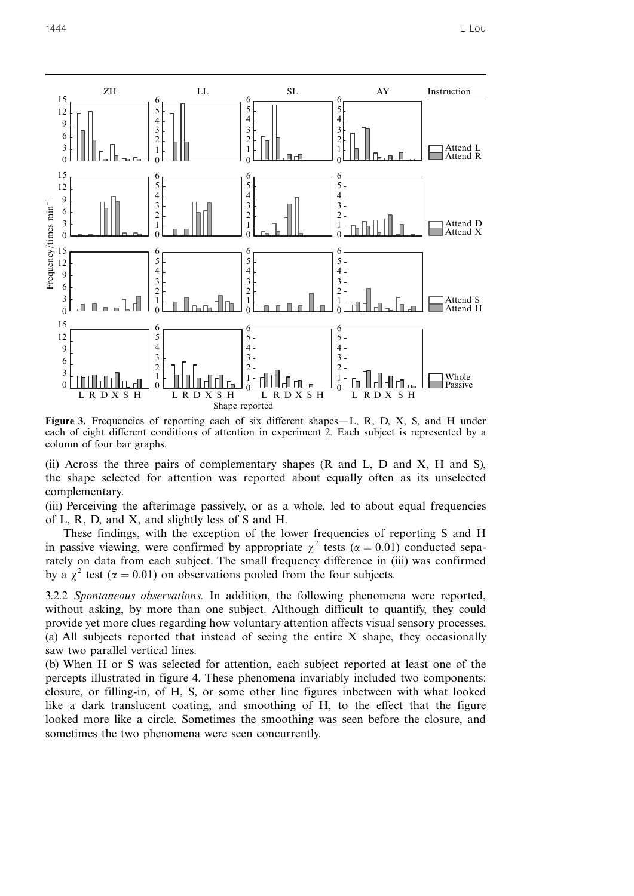

Figure 3. Frequencies of reporting each of six different shapes—L, R, D, X, S, and H under each of eight different conditions of attention in experiment 2. Each subject is represented by a column of four bar graphs.

(ii) Across the three pairs of complementary shapes (R and L, D and X, H and S), the shape selected for attention was reported about equally often as its unselected complementary.

(iii) Perceiving the afterimage passively, or as a whole, led to about equal frequencies of L, R, D, and X, and slightly less of S and H.

These findings, with the exception of the lower frequencies of reporting S and H in passive viewing, were confirmed by appropriate  $\chi^2$  tests ( $\alpha = 0.01$ ) conducted separately on data from each subject. The small frequency difference in (iii) was confirmed by a  $\chi^2$  test ( $\alpha = 0.01$ ) on observations pooled from the four subjects.

3.2.2 Spontaneous observations. In addition, the following phenomena were reported, without asking, by more than one subject. Although difficult to quantify, they could provide yet more clues regarding how voluntary attention affects visual sensory processes. (a) All subjects reported that instead of seeing the entire X shape, they occasionally saw two parallel vertical lines.

(b) When H or S was selected for attention, each subject reported at least one of the percepts illustrated in figure 4. These phenomena invariably included two components: closure, or filling-in, of H, S, or some other line figures inbetween with what looked like a dark translucent coating, and smoothing of H, to the effect that the figure looked more like a circle. Sometimes the smoothing was seen before the closure, and sometimes the two phenomena were seen concurrently.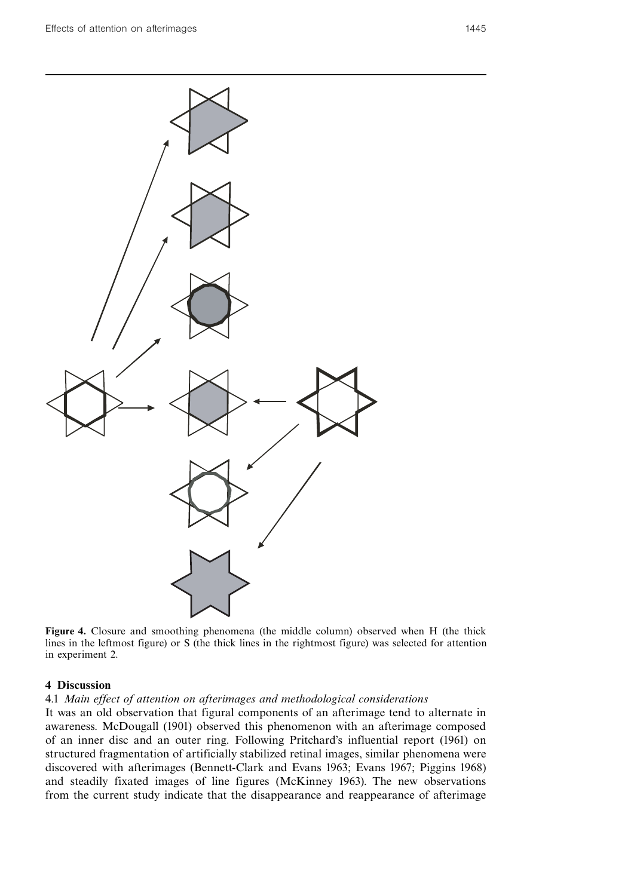

Figure 4. Closure and smoothing phenomena (the middle column) observed when H (the thick lines in the leftmost figure) or S (the thick lines in the rightmost figure) was selected for attention in experiment 2.

# 4 Discussion

# 4.1 Main effect of attention on afterimages and methodological considerations

It was an old observation that figural components of an afterimage tend to alternate in awareness. McDougall (1901) observed this phenomenon with an afterimage composed of an inner disc and an outer ring. Following Pritchard's influential report (1961) on structured fragmentation of artificially stabilized retinal images, similar phenomena were discovered with afterimages (Bennett-Clark and Evans 1963; Evans 1967; Piggins 1968) and steadily fixated images of line figures (McKinney 1963). The new observations from the current study indicate that the disappearance and reappearance of afterimage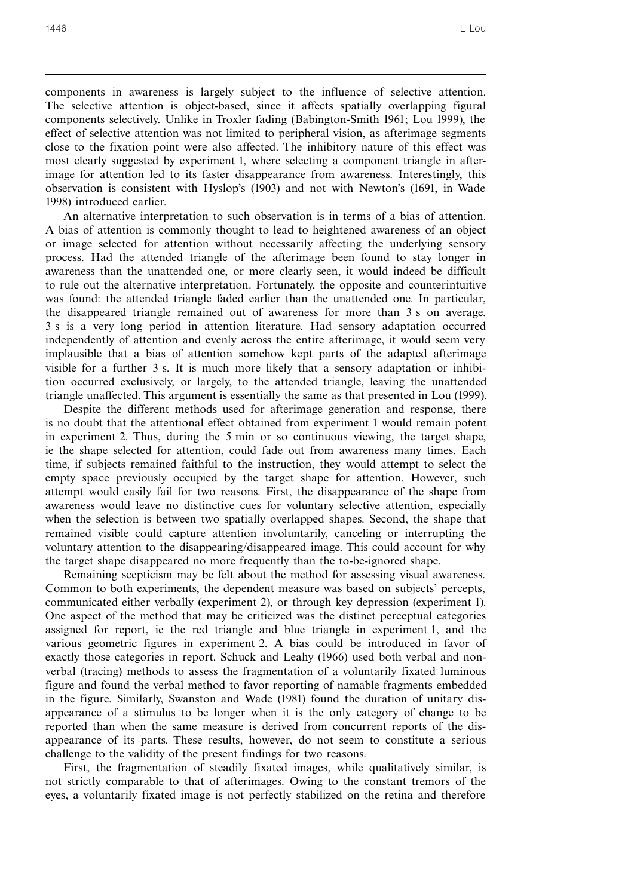components in awareness is largely subject to the influence of selective attention. The selective attention is object-based, since it affects spatially overlapping figural components selectively. Unlike in Troxler fading (Babington-Smith 1961; Lou 1999), the effect of selective attention was not limited to peripheral vision, as afterimage segments close to the fixation point were also affected. The inhibitory nature of this effect was most clearly suggested by experiment 1, where selecting a component triangle in afterimage for attention led to its faster disappearance from awareness. Interestingly, this observation is consistent with Hyslop's (1903) and not with Newton's (1691, in Wade 1998) introduced earlier.

An alternative interpretation to such observation is in terms of a bias of attention. A bias of attention is commonly thought to lead to heightened awareness of an object or image selected for attention without necessarily affecting the underlying sensory process. Had the attended triangle of the afterimage been found to stay longer in awareness than the unattended one, or more clearly seen, it would indeed be difficult to rule out the alternative interpretation. Fortunately, the opposite and counterintuitive was found: the attended triangle faded earlier than the unattended one. In particular, the disappeared triangle remained out of awareness for more than 3 s on average. 3 s is a very long period in attention literature. Had sensory adaptation occurred independently of attention and evenly across the entire afterimage, it would seem very implausible that a bias of attention somehow kept parts of the adapted afterimage visible for a further 3 s. It is much more likely that a sensory adaptation or inhibition occurred exclusively, or largely, to the attended triangle, leaving the unattended triangle unaffected. This argument is essentially the same as that presented in Lou (1999).

Despite the different methods used for afterimage generation and response, there is no doubt that the attentional effect obtained from experiment 1 would remain potent in experiment 2. Thus, during the 5 min or so continuous viewing, the target shape, ie the shape selected for attention, could fade out from awareness many times. Each time, if subjects remained faithful to the instruction, they would attempt to select the empty space previously occupied by the target shape for attention. However, such attempt would easily fail for two reasons. First, the disappearance of the shape from awareness would leave no distinctive cues for voluntary selective attention, especially when the selection is between two spatially overlapped shapes. Second, the shape that remained visible could capture attention involuntarily, canceling or interrupting the voluntary attention to the disappearing/disappeared image. This could account for why the target shape disappeared no more frequently than the to-be-ignored shape.

Remaining scepticism may be felt about the method for assessing visual awareness. Common to both experiments, the dependent measure was based on subjects' percepts, communicated either verbally (experiment 2), or through key depression (experiment 1). One aspect of the method that may be criticized was the distinct perceptual categories assigned for report, ie the red triangle and blue triangle in experiment 1, and the various geometric figures in experiment 2. A bias could be introduced in favor of exactly those categories in report. Schuck and Leahy (1966) used both verbal and nonverbal (tracing) methods to assess the fragmentation of a voluntarily fixated luminous figure and found the verbal method to favor reporting of namable fragments embedded in the figure. Similarly, Swanston and Wade (1981) found the duration of unitary disappearance of a stimulus to be longer when it is the only category of change to be reported than when the same measure is derived from concurrent reports of the disappearance of its parts. These results, however, do not seem to constitute a serious challenge to the validity of the present findings for two reasons.

First, the fragmentation of steadily fixated images, while qualitatively similar, is not strictly comparable to that of afterimages. Owing to the constant tremors of the eyes, a voluntarily fixated image is not perfectly stabilized on the retina and therefore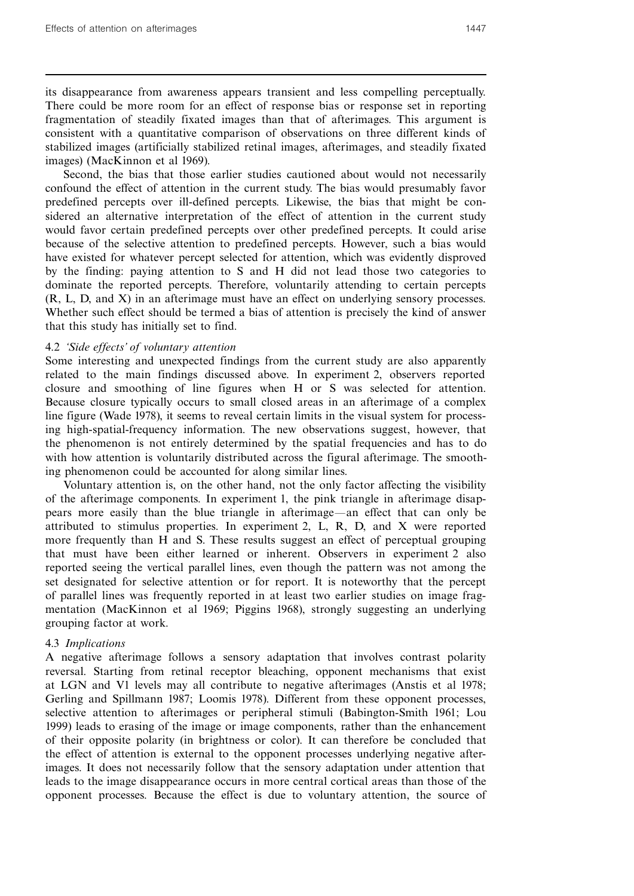its disappearance from awareness appears transient and less compelling perceptually. There could be more room for an effect of response bias or response set in reporting fragmentation of steadily fixated images than that of afterimages. This argument is consistent with a quantitative comparison of observations on three different kinds of stabilized images (artificially stabilized retinal images, afterimages, and steadily fixated images) (MacKinnon et al 1969).

Second, the bias that those earlier studies cautioned about would not necessarily confound the effect of attention in the current study. The bias would presumably favor predefined percepts over ill-defined percepts. Likewise, the bias that might be considered an alternative interpretation of the effect of attention in the current study would favor certain predefined percepts over other predefined percepts. It could arise because of the selective attention to predefined percepts. However, such a bias would have existed for whatever percept selected for attention, which was evidently disproved by the finding: paying attention to S and H did not lead those two categories to dominate the reported percepts. Therefore, voluntarily attending to certain percepts (R, L, D, and X) in an afterimage must have an effect on underlying sensory processes. Whether such effect should be termed a bias of attention is precisely the kind of answer that this study has initially set to find.

## 4.2 `Side effects' of voluntary attention

Some interesting and unexpected findings from the current study are also apparently related to the main findings discussed above. In experiment 2, observers reported closure and smoothing of line figures when H or S was selected for attention. Because closure typically occurs to small closed areas in an afterimage of a complex line figure (Wade 1978), it seems to reveal certain limits in the visual system for processing high-spatial-frequency information. The new observations suggest, however, that the phenomenon is not entirely determined by the spatial frequencies and has to do with how attention is voluntarily distributed across the figural afterimage. The smoothing phenomenon could be accounted for along similar lines.

Voluntary attention is, on the other hand, not the only factor affecting the visibility of the afterimage components. In experiment 1, the pink triangle in afterimage disappears more easily than the blue triangle in afterimage—an effect that can only be attributed to stimulus properties. In experiment 2, L, R, D, and X were reported more frequently than H and S. These results suggest an effect of perceptual grouping that must have been either learned or inherent. Observers in experiment 2 also reported seeing the vertical parallel lines, even though the pattern was not among the set designated for selective attention or for report. It is noteworthy that the percept of parallel lines was frequently reported in at least two earlier studies on image fragmentation (MacKinnon et al 1969; Piggins 1968), strongly suggesting an underlying grouping factor at work.

## 4.3 Implications

A negative afterimage follows a sensory adaptation that involves contrast polarity reversal. Starting from retinal receptor bleaching, opponent mechanisms that exist at LGN and V1 levels may all contribute to negative afterimages (Anstis et al 1978; Gerling and Spillmann 1987; Loomis 1978). Different from these opponent processes, selective attention to afterimages or peripheral stimuli (Babington-Smith 1961; Lou 1999) leads to erasing of the image or image components, rather than the enhancement of their opposite polarity (in brightness or color). It can therefore be concluded that the effect of attention is external to the opponent processes underlying negative afterimages. It does not necessarily follow that the sensory adaptation under attention that leads to the image disappearance occurs in more central cortical areas than those of the opponent processes. Because the effect is due to voluntary attention, the source of